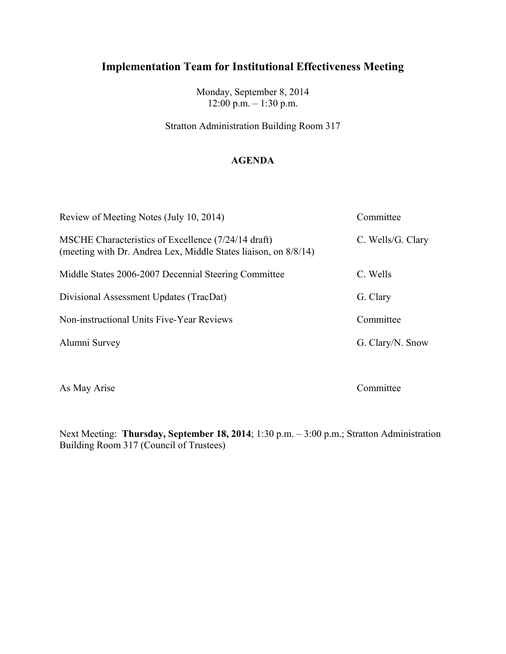Monday, September 8, 2014 12:00 p.m. – 1:30 p.m.

Stratton Administration Building Room 317

### **AGENDA**

| Review of Meeting Notes (July 10, 2014)                                                                                | Committee         |
|------------------------------------------------------------------------------------------------------------------------|-------------------|
| MSCHE Characteristics of Excellence (7/24/14 draft)<br>(meeting with Dr. Andrea Lex, Middle States liaison, on 8/8/14) | C. Wells/G. Clary |
| Middle States 2006-2007 Decennial Steering Committee                                                                   | C. Wells          |
| Divisional Assessment Updates (TracDat)                                                                                | G. Clary          |
| Non-instructional Units Five-Year Reviews                                                                              | Committee         |
| Alumni Survey                                                                                                          | G. Clary/N. Snow  |

As May Arise Committee

Next Meeting: **Thursday, September 18, 2014**; 1:30 p.m. – 3:00 p.m.; Stratton Administration Building Room 317 (Council of Trustees)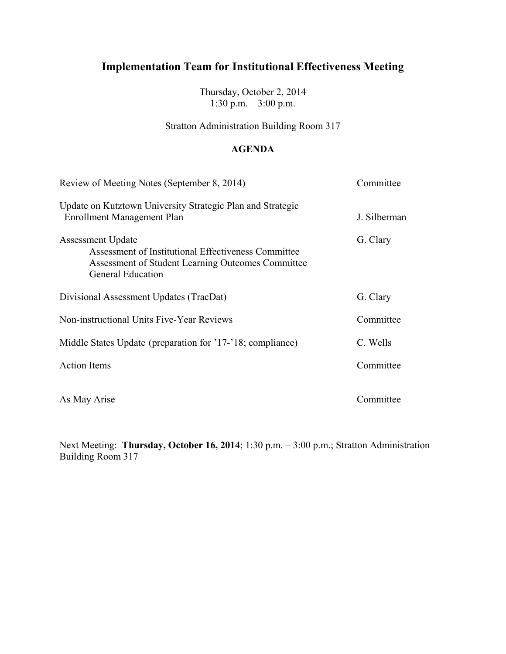Thursday, October 2, 2014 1:30 p.m.  $-3:00$  p.m.

Stratton Administration Building Room 317

### **AGENDA**

| Review of Meeting Notes (September 8, 2014)                                                                                                                      | Committee    |
|------------------------------------------------------------------------------------------------------------------------------------------------------------------|--------------|
| Update on Kutztown University Strategic Plan and Strategic<br><b>Enrollment Management Plan</b>                                                                  | J. Silberman |
| <b>Assessment Update</b><br>Assessment of Institutional Effectiveness Committee<br>Assessment of Student Learning Outcomes Committee<br><b>General Education</b> | G. Clary     |
| Divisional Assessment Updates (TracDat)                                                                                                                          | G. Clary     |
| Non-instructional Units Five-Year Reviews                                                                                                                        | Committee    |
| Middle States Update (preparation for '17-'18; compliance)                                                                                                       | C. Wells     |
| <b>Action</b> Items                                                                                                                                              | Committee    |
| As May Arise                                                                                                                                                     | Committee    |

Next Meeting: **Thursday, October 16, 2014**; 1:30 p.m. – 3:00 p.m.; Stratton Administration Building Room 317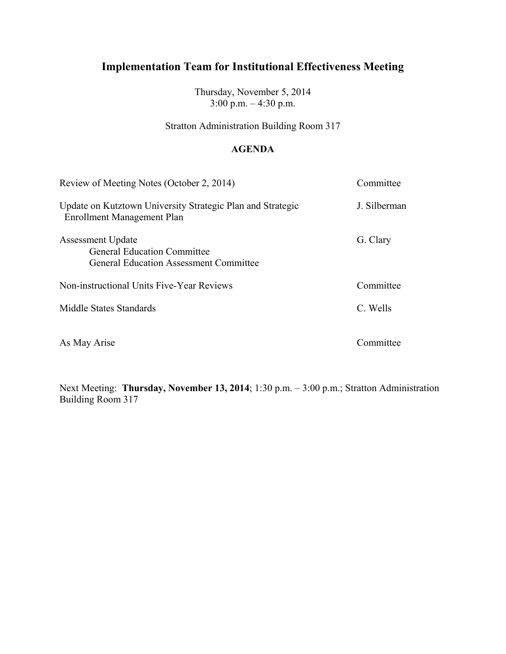Thursday, November 5, 2014  $3:00 \text{ p.m.} - 4:30 \text{ p.m.}$ 

Stratton Administration Building Room 317

### **AGENDA**

| Review of Meeting Notes (October 2, 2014)                                                                       | Committee    |
|-----------------------------------------------------------------------------------------------------------------|--------------|
| Update on Kutztown University Strategic Plan and Strategic<br>Enrollment Management Plan                        | J. Silberman |
| <b>Assessment Update</b><br><b>General Education Committee</b><br><b>General Education Assessment Committee</b> | G. Clary     |
| Non-instructional Units Five-Year Reviews                                                                       | Committee    |
| Middle States Standards                                                                                         | C. Wells     |
| As May Arise                                                                                                    | Committee    |

Next Meeting: **Thursday, November 13, 2014**; 1:30 p.m. – 3:00 p.m.; Stratton Administration Building Room 317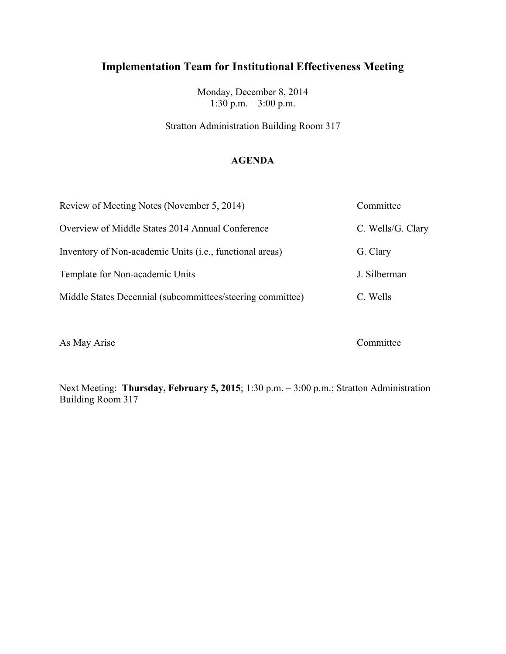Monday, December 8, 2014 1:30 p.m. – 3:00 p.m.

Stratton Administration Building Room 317

### **AGENDA**

| Review of Meeting Notes (November 5, 2014)                        | Committee         |
|-------------------------------------------------------------------|-------------------|
| Overview of Middle States 2014 Annual Conference                  | C. Wells/G. Clary |
| Inventory of Non-academic Units ( <i>i.e.</i> , functional areas) | G. Clary          |
| Template for Non-academic Units                                   | J. Silberman      |
| Middle States Decennial (subcommittees/steering committee)        | C. Wells          |
|                                                                   |                   |

As May Arise Committee

Next Meeting: **Thursday, February 5, 2015**; 1:30 p.m. – 3:00 p.m.; Stratton Administration Building Room 317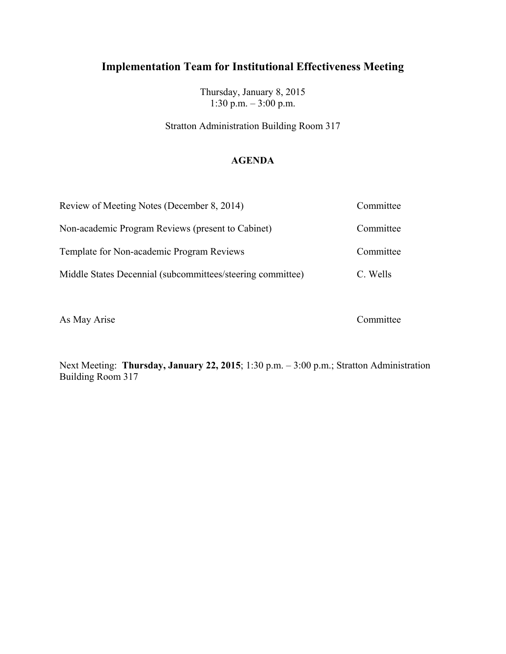Thursday, January 8, 2015 1:30 p.m. – 3:00 p.m.

Stratton Administration Building Room 317

### **AGENDA**

| Review of Meeting Notes (December 8, 2014)                 | Committee |
|------------------------------------------------------------|-----------|
| Non-academic Program Reviews (present to Cabinet)          | Committee |
| Template for Non-academic Program Reviews                  | Committee |
| Middle States Decennial (subcommittees/steering committee) | C. Wells  |

As May Arise Committee

Next Meeting: **Thursday, January 22, 2015**; 1:30 p.m. – 3:00 p.m.; Stratton Administration Building Room 317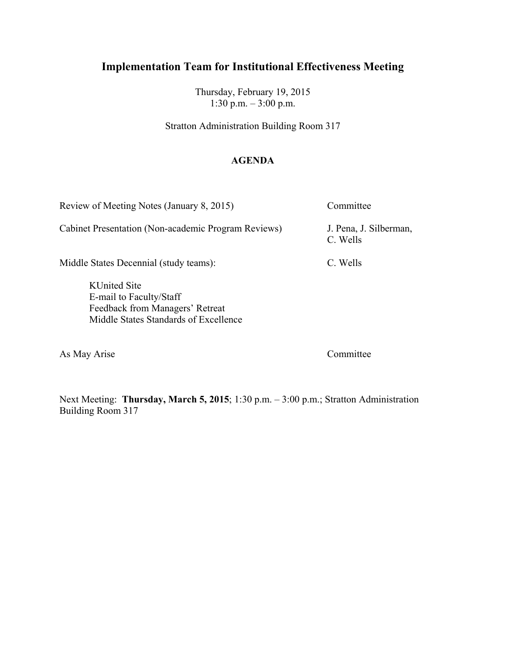Thursday, February 19, 2015 1:30 p.m. – 3:00 p.m.

Stratton Administration Building Room 317

### **AGENDA**

Review of Meeting Notes (January 8, 2015) Committee

Cabinet Presentation (Non-academic Program Reviews) J. Pena, J. Silberman,

C. Wells

Middle States Decennial (study teams): C. Wells

KUnited Site E-mail to Faculty/Staff Feedback from Managers' Retreat Middle States Standards of Excellence

As May Arise Committee

Next Meeting: **Thursday, March 5, 2015**; 1:30 p.m. – 3:00 p.m.; Stratton Administration Building Room 317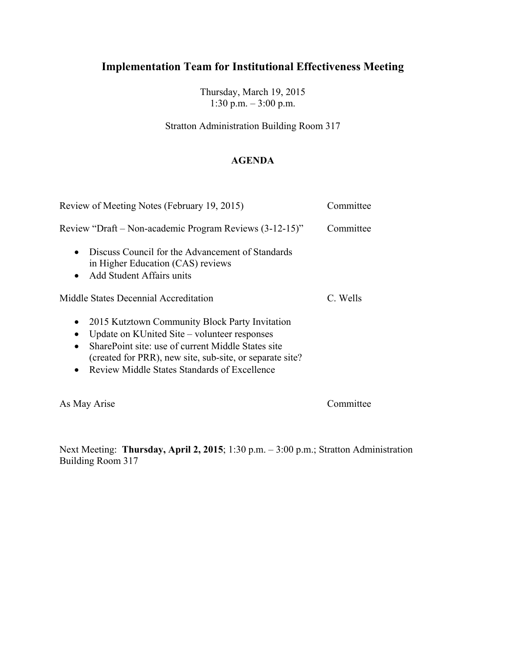Thursday, March 19, 2015 1:30 p.m. – 3:00 p.m.

Stratton Administration Building Room 317

### **AGENDA**

| Review of Meeting Notes (February 19, 2015)                                                                                                                                                                                                                                                             | Committee |
|---------------------------------------------------------------------------------------------------------------------------------------------------------------------------------------------------------------------------------------------------------------------------------------------------------|-----------|
| Review "Draft – Non-academic Program Reviews (3-12-15)"                                                                                                                                                                                                                                                 | Committee |
| Discuss Council for the Advancement of Standards<br>$\bullet$<br>in Higher Education (CAS) reviews<br>Add Student Affairs units<br>$\bullet$                                                                                                                                                            |           |
| Middle States Decennial Accreditation                                                                                                                                                                                                                                                                   | C. Wells  |
| 2015 Kutztown Community Block Party Invitation<br>$\bullet$<br>Update on KUnited Site – volunteer responses<br>SharePoint site: use of current Middle States site<br>$\bullet$<br>(created for PRR), new site, sub-site, or separate site?<br>Review Middle States Standards of Excellence<br>$\bullet$ |           |
| As May Arise                                                                                                                                                                                                                                                                                            | Committee |

Next Meeting: **Thursday, April 2, 2015**; 1:30 p.m. – 3:00 p.m.; Stratton Administration Building Room 317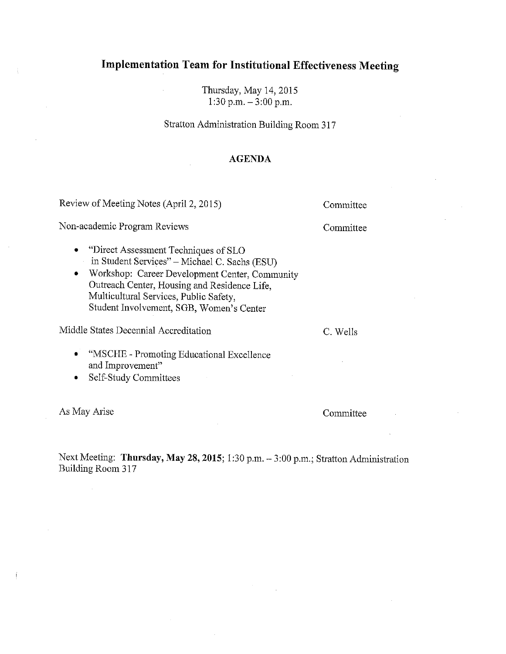Thursday, May 14, 2015 1:30 p.m.  $-3:00$  p.m.

Stratton Administration Building Room 317

#### **AGENDA**

Review of Meeting Notes (April 2, 2015)

Non-academic Program Reviews

Committee

Committee

"Direct Assessment Techniques of SLO"  $\bullet$ in Student Services" - Michael C. Sachs (ESU)

• Workshop: Career Development Center, Community Outreach Center, Housing and Residence Life, Multicultural Services, Public Safety, Student Involvement, SGB, Women's Center

Middle States Decennial Accreditation

C. Wells

- "MSCHE Promoting Educational Excellence and Improvement"
- Self-Study Committees

As May Arise

Committee

Next Meeting: Thursday, May 28, 2015; 1:30 p.m. - 3:00 p.m.; Stratton Administration Building Room 317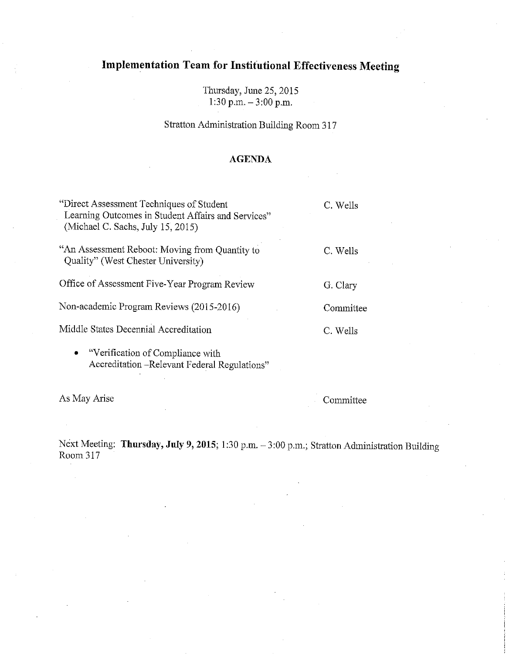Thursday, June 25, 2015 1:30 p.m.  $-3:00$  p.m.

Stratton Administration Building Room 317

#### **AGENDA**

| "Direct Assessment Techniques of Student"<br>Learning Outcomes in Student Affairs and Services"<br>(Michael C. Sachs, July 15, 2015) | C. Wells  |
|--------------------------------------------------------------------------------------------------------------------------------------|-----------|
| "An Assessment Reboot: Moving from Quantity to<br>Quality" (West Chester University)                                                 | C. Wells  |
| Office of Assessment Five-Year Program Review                                                                                        | G. Clary  |
| Non-academic Program Reviews (2015-2016)                                                                                             | Committee |
| Middle States Decennial Accreditation                                                                                                | C. Wells  |
| $\blacksquare$ . Would estimately and Computing $\blacksquare$                                                                       |           |

Verification of Compliance with Accreditation -- Relevant Federal Regulations"

As May Arise

Committee

Next Meeting: Thursday, July 9, 2015; 1:30 p.m. - 3:00 p.m.; Stratton Administration Building Room 317